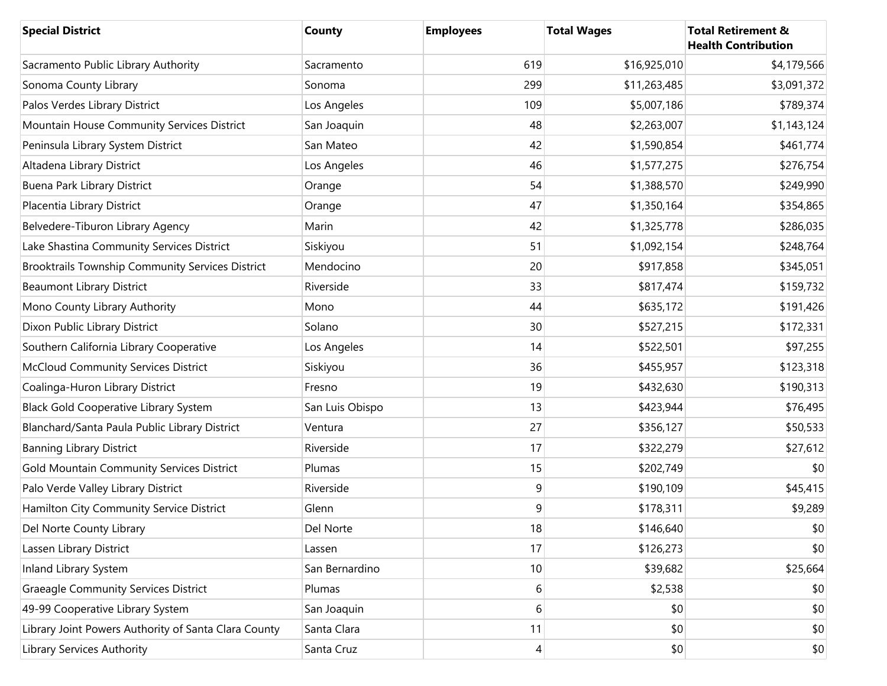| <b>Special District</b>                              | County          | <b>Employees</b> | <b>Total Wages</b> | <b>Total Retirement &amp;</b><br><b>Health Contribution</b> |
|------------------------------------------------------|-----------------|------------------|--------------------|-------------------------------------------------------------|
| Sacramento Public Library Authority                  | Sacramento      | 619              | \$16,925,010       | \$4,179,566                                                 |
| Sonoma County Library                                | Sonoma          | 299              | \$11,263,485       | \$3,091,372                                                 |
| Palos Verdes Library District                        | Los Angeles     | 109              | \$5,007,186        | \$789,374                                                   |
| Mountain House Community Services District           | San Joaquin     | 48               | \$2,263,007        | \$1,143,124                                                 |
| Peninsula Library System District                    | San Mateo       | 42               | \$1,590,854        | \$461,774                                                   |
| Altadena Library District                            | Los Angeles     | 46               | \$1,577,275        | \$276,754                                                   |
| <b>Buena Park Library District</b>                   | Orange          | 54               | \$1,388,570        | \$249,990                                                   |
| Placentia Library District                           | Orange          | 47               | \$1,350,164        | \$354,865                                                   |
| Belvedere-Tiburon Library Agency                     | Marin           | 42               | \$1,325,778        | \$286,035                                                   |
| Lake Shastina Community Services District            | Siskiyou        | 51               | \$1,092,154        | \$248,764                                                   |
| Brooktrails Township Community Services District     | Mendocino       | 20               | \$917,858          | \$345,051                                                   |
| <b>Beaumont Library District</b>                     | Riverside       | 33               | \$817,474          | \$159,732                                                   |
| Mono County Library Authority                        | Mono            | 44               | \$635,172          | \$191,426                                                   |
| Dixon Public Library District                        | Solano          | 30               | \$527,215          | \$172,331                                                   |
| Southern California Library Cooperative              | Los Angeles     | 14               | \$522,501          | \$97,255                                                    |
| McCloud Community Services District                  | Siskiyou        | 36               | \$455,957          | \$123,318                                                   |
| Coalinga-Huron Library District                      | Fresno          | 19               | \$432,630          | \$190,313                                                   |
| <b>Black Gold Cooperative Library System</b>         | San Luis Obispo | 13               | \$423,944          | \$76,495                                                    |
| Blanchard/Santa Paula Public Library District        | Ventura         | 27               | \$356,127          | \$50,533                                                    |
| <b>Banning Library District</b>                      | Riverside       | 17               | \$322,279          | \$27,612                                                    |
| Gold Mountain Community Services District            | Plumas          | 15               | \$202,749          | \$0                                                         |
| Palo Verde Valley Library District                   | Riverside       | $\boldsymbol{9}$ | \$190,109          | \$45,415                                                    |
| Hamilton City Community Service District             | Glenn           | $9\,$            | \$178,311          | \$9,289                                                     |
| Del Norte County Library                             | Del Norte       | 18               | \$146,640          | \$0                                                         |
| Lassen Library District                              | Lassen          | 17               | \$126,273          | \$0                                                         |
| Inland Library System                                | San Bernardino  | 10               | \$39,682           | \$25,664                                                    |
| <b>Graeagle Community Services District</b>          | Plumas          | 6                | \$2,538            | \$0                                                         |
| 49-99 Cooperative Library System                     | San Joaquin     | 6                | \$0                | \$0                                                         |
| Library Joint Powers Authority of Santa Clara County | Santa Clara     | 11               | \$0                | \$0                                                         |
| <b>Library Services Authority</b>                    | Santa Cruz      | 4                | \$0                | \$0                                                         |